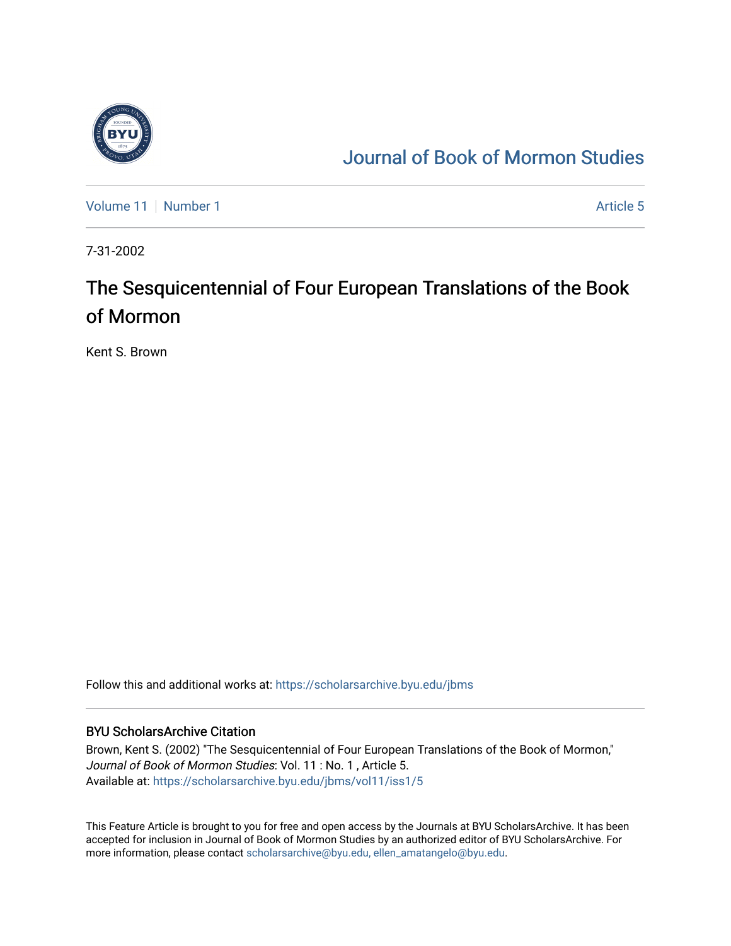

## [Journal of Book of Mormon Studies](https://scholarsarchive.byu.edu/jbms)

[Volume 11](https://scholarsarchive.byu.edu/jbms/vol11) [Number 1](https://scholarsarchive.byu.edu/jbms/vol11/iss1) Article 5

7-31-2002

## The Sesquicentennial of Four European Translations of the Book of Mormon

Kent S. Brown

Follow this and additional works at: [https://scholarsarchive.byu.edu/jbms](https://scholarsarchive.byu.edu/jbms?utm_source=scholarsarchive.byu.edu%2Fjbms%2Fvol11%2Fiss1%2F5&utm_medium=PDF&utm_campaign=PDFCoverPages) 

## BYU ScholarsArchive Citation

Brown, Kent S. (2002) "The Sesquicentennial of Four European Translations of the Book of Mormon," Journal of Book of Mormon Studies: Vol. 11 : No. 1 , Article 5. Available at: [https://scholarsarchive.byu.edu/jbms/vol11/iss1/5](https://scholarsarchive.byu.edu/jbms/vol11/iss1/5?utm_source=scholarsarchive.byu.edu%2Fjbms%2Fvol11%2Fiss1%2F5&utm_medium=PDF&utm_campaign=PDFCoverPages) 

This Feature Article is brought to you for free and open access by the Journals at BYU ScholarsArchive. It has been accepted for inclusion in Journal of Book of Mormon Studies by an authorized editor of BYU ScholarsArchive. For more information, please contact [scholarsarchive@byu.edu, ellen\\_amatangelo@byu.edu.](mailto:scholarsarchive@byu.edu,%20ellen_amatangelo@byu.edu)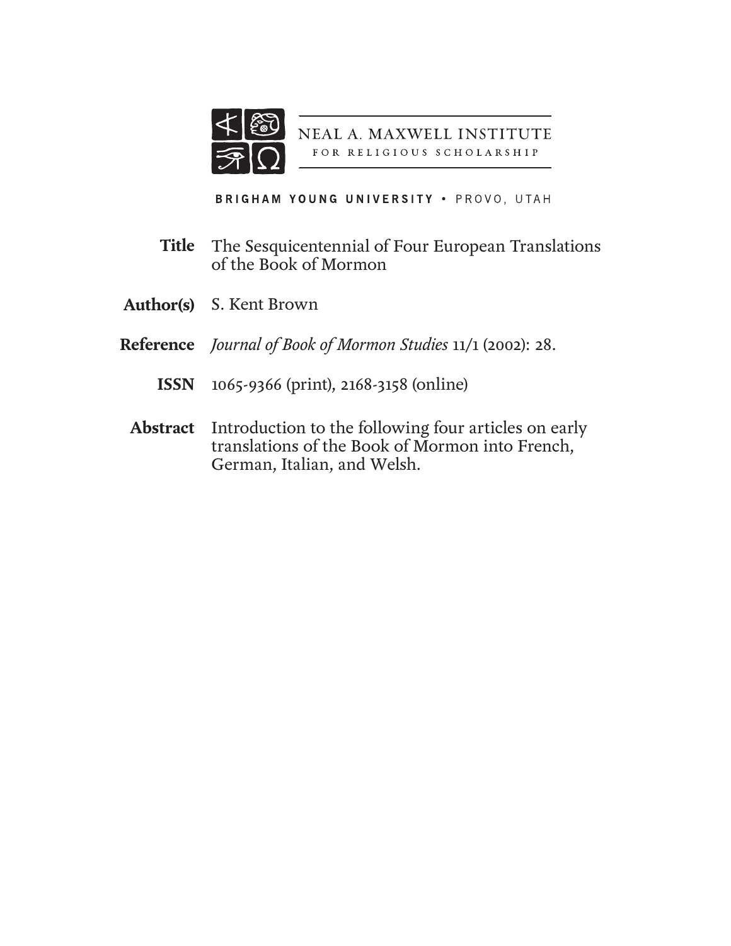

NEAL A. MAXWELL INSTITUTE FOR RELIGIOUS SCHOLARSHIP

BRIGHAM YOUNG UNIVERSITY . PROVO, UTAH

- The Sesquicentennial of Four European Translations of the Book of Mormon **Title**
- S. Kent Brown **Author(s)**
- *Journal of Book of Mormon Studies* 11/1 (2002): 28. **Reference**
	- 1065-9366 (print), 2168-3158 (online) **ISSN**
	- Abstract Introduction to the following four articles on early translations of the Book of Mormon into French, German, Italian, and Welsh.